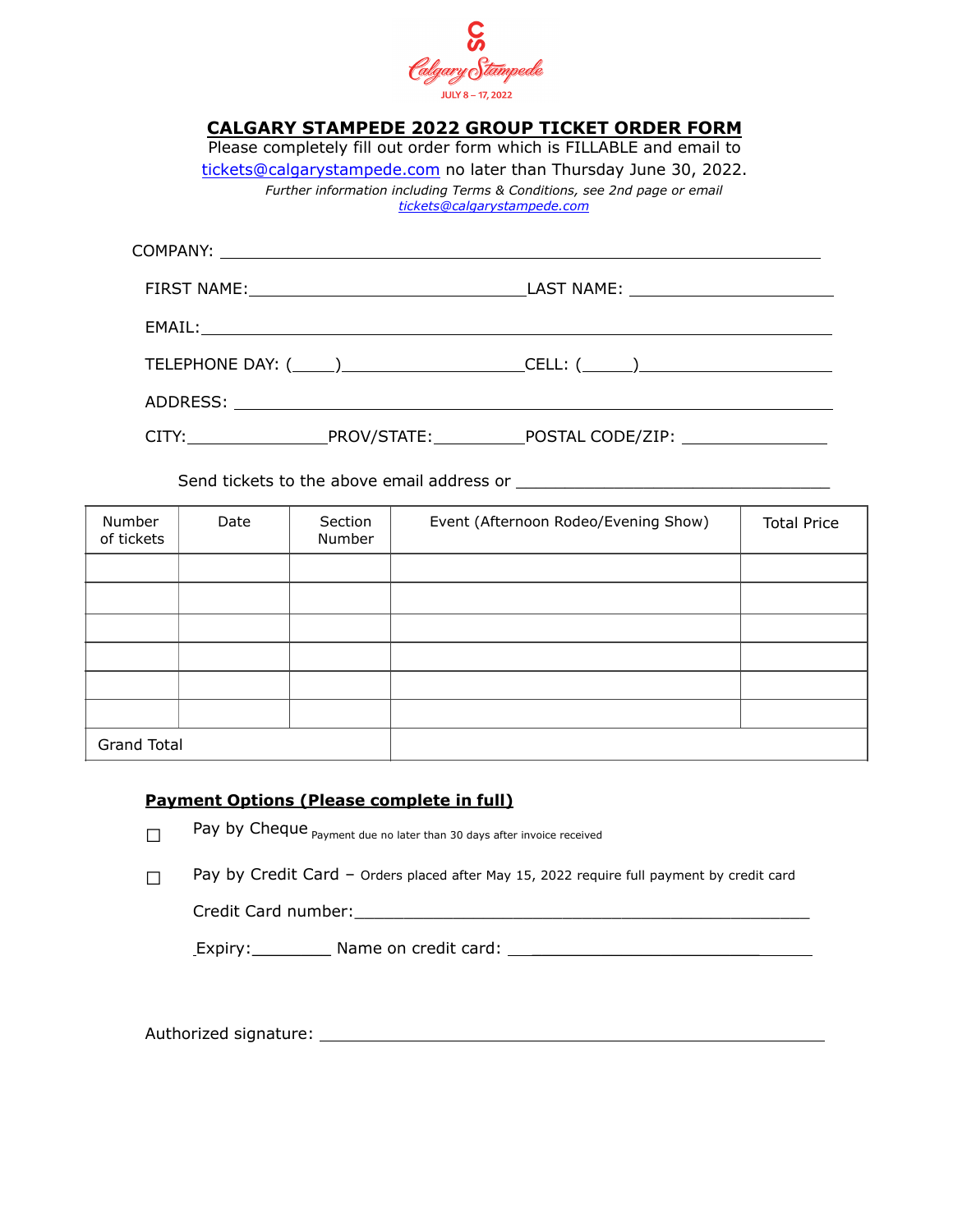

| <b>CALGARY STAMPEDE 2022 GROUP TICKET ORDER FORM</b><br>Please completely fill out order form which is FILLABLE and email to<br>tickets@calgarystampede.com no later than Thursday June 30, 2022.<br>Further information including Terms & Conditions, see 2nd page or email<br>tickets@calgarystampede.com |  |  |  |  |  |
|-------------------------------------------------------------------------------------------------------------------------------------------------------------------------------------------------------------------------------------------------------------------------------------------------------------|--|--|--|--|--|
|                                                                                                                                                                                                                                                                                                             |  |  |  |  |  |
|                                                                                                                                                                                                                                                                                                             |  |  |  |  |  |
|                                                                                                                                                                                                                                                                                                             |  |  |  |  |  |
| TELEPHONE DAY: (_____)_______________________CELL: (_____)______________________                                                                                                                                                                                                                            |  |  |  |  |  |
|                                                                                                                                                                                                                                                                                                             |  |  |  |  |  |
|                                                                                                                                                                                                                                                                                                             |  |  |  |  |  |
| Send tickets to the above email address or Send tickets of the sensor of the sensor of the sensor of the sensor                                                                                                                                                                                             |  |  |  |  |  |

| Number<br>of tickets | Date | Section<br>Number | Event (Afternoon Rodeo/Evening Show) | <b>Total Price</b> |
|----------------------|------|-------------------|--------------------------------------|--------------------|
|                      |      |                   |                                      |                    |
|                      |      |                   |                                      |                    |
|                      |      |                   |                                      |                    |
|                      |      |                   |                                      |                    |
|                      |      |                   |                                      |                    |
|                      |      |                   |                                      |                    |
| <b>Grand Total</b>   |      |                   |                                      |                    |

## **Payment Options (Please complete in full)**

|  | . <sub>I</sub> Pay by Cheque <sub>Payment due no later than 30 days after invoice receiver</sub> |  |  |  |
|--|--------------------------------------------------------------------------------------------------|--|--|--|
|--|--------------------------------------------------------------------------------------------------|--|--|--|

□ Pay by Credit Card – Orders placed after May 15, 2022 require full payment by credit card

Credit Card number:\_\_\_\_\_\_\_\_\_\_\_\_\_\_\_\_\_\_\_\_\_\_\_\_\_\_\_\_\_\_\_\_\_\_\_\_\_\_\_\_\_\_\_\_\_\_

Expiry: \_\_\_\_\_\_\_\_ Name on credit card: \_\_\_\_\_\_\_\_\_\_\_\_\_\_\_\_\_\_\_\_\_\_\_

Authorized signature: